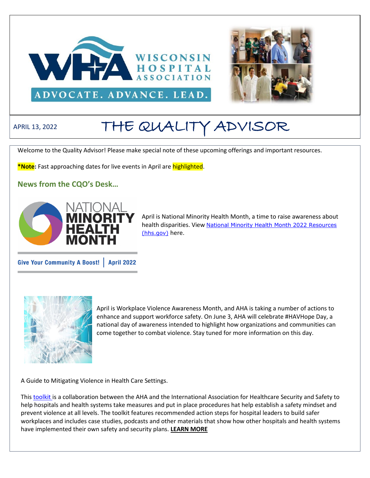



# APRIL 13, 2022 THE QUALITY ADVISOR

Welcome to the Quality Advisor! Please make special note of these upcoming offerings and important resources.

**\*Note:** Fast approaching dates for live events in April are highlighted.

**News from the CQO's Desk…**



April is National Minority Health Month, a time to raise awareness about health disparities. View National Minority Health Month 2022 Resources [\(hhs.gov\)](https://www.minorityhealth.hhs.gov/nmhm/) here.

Give Your Community A Boost! | April 2022



April is Workplace Violence Awareness Month, and AHA is taking a number of actions to enhance and support workforce safety. On June 3, AHA will celebrate #HAVHope Day, a national day of awareness intended to highlight how organizations and communities can come together to combat violence. Stay tuned for more information on this day.

A Guide to Mitigating Violence in Health Care Settings.

This [toolkit i](https://www.aha.org/system/files/media/file/2021/10/creating-safer-workplaces-guide-to-mitigating-violence-in-health-care-settings-f.pdf?utm_source=newsletter&utm_medium=email&utm_campaign=aha-today&mkt_tok=NzEwLVpMTC02NTEAAAGDvpNT_ZHn_JF_sXq8WKu8u5LNI0CZr-GqLAW80DjANzRJ0xv-RlTrazBgEiPkOWfZ67Mwb7A74FIwTLHowM_YwstPCYWq8vcAmHBRHbyIUYEl)s a collaboration between the AHA and the International Association for Healthcare Security and Safety to help hospitals and health systems take measures and put in place procedures hat help establish a safety mindset and prevent violence at all levels. The toolkit features recommended action steps for hospital leaders to build safer workplaces and includes case studies, podcasts and other materials that show how other hospitals and health systems have implemented their own safety and security plans. **[LEARN MORE](https://email.advocacy.aha.org/NzEwLVpMTC02NTEAAAGDvoaHqEhfDkXRpwHuP7SGqrs5puuwO0HRYkKRDl4FfdH26kZuhhkJ3SZJZh2genu-Y-4CuJk=)**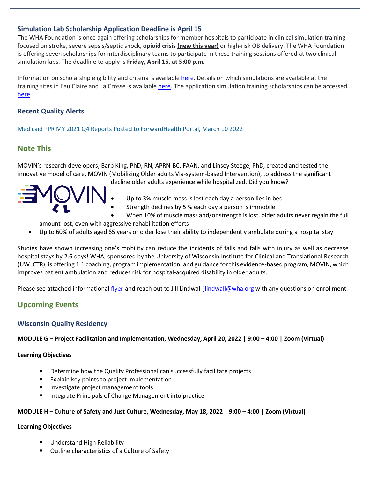## **Simulation Lab Scholarship Application Deadline is April 15**

The WHA Foundation is once again offering scholarships for member hospitals to participate in clinical simulation training focused on stroke, severe sepsis/septic shock, **opioid crisis (new this year)** or high-risk OB delivery. The WHA Foundation is offering seven scholarships for interdisciplinary teams to participate in these training sessions offered at two clinical simulation labs. The deadline to apply is **Friday, April 15, at 5:00 p.m.**

Information on scholarship eligibility and criteria is available [here.](https://www.wha.org/2022-WHA-Foundation.pdf) Details on which simulations are available at the training sites in Eau Claire and La Crosse is available [here.](https://www.wha.org/2022-SIM-Lab-Map.pdf) The application simulation training scholarships can be accessed [here.](https://forms.office.com/Pages/ResponsePage.aspx?id=-EZlu16lpkyY7B0he0zJsO-N41qOYtBCuypCiv4Mm-xUMkc3M0tMSDZZQ1VONTY0WlNYU1RSRERYViQlQCN0PWcu)

## **Recent Quality Alerts**

[Medicaid PPR MY 2021 Q4 Reports Posted to ForwardHealth Portal, March](https://www.wha.org/Quality-Patient-Safety/Quality-News/Quality-Alerts/QAlert-3-10-22.pdf) 10 2022

# **Note This**

MOVIN's research developers, Barb King, PhD, RN, APRN-BC, FAAN, and Linsey Steege, PhD, created and tested the innovative model of care, MOVIN (Mobilizing Older adults Via-system-based Intervention), to address the significant



decline older adults experience while hospitalized. Did you know?

- Up to 3% muscle mass is lost each day a person lies in bed
- Strength declines by 5 % each day a person is immobile
- When 10% of muscle mass and/or strength is lost, older adults never regain the full

amount lost, even with aggressive rehabilitation efforts

• Up to 60% of adults aged 65 years or older lose their ability to independently ambulate during a hospital stay

Studies have shown increasing one's mobility can reduce the incidents of falls and falls with injury as well as decrease hospital stays by 2.6 days! WHA, sponsored by the University of Wisconsin Institute for Clinical and Translational Research (UW ICTR), is offering 1:1 coaching, program implementation, and guidance for this evidence-based program, MOVIN, which improves patient ambulation and reduces risk for hospital-acquired disability in older adults.

Please see attached informational [flyer](http://www.wha.org/Home/Common-PDFs/MOVIN-Informational-Overview.pdf) and reach out to Jill Lindwall *jlindwall@wha.org* with any questions on enrollment.

# **Upcoming Events**

## **Wisconsin Quality Residency**

**MODULE G – Project Facilitation and Implementation, Wednesday, April 20, 2022 | 9:00 – 4:00 | Zoom (Virtual)** 

#### **Learning Objectives**

- Determine how the Quality Professional can successfully facilitate projects
- Explain key points to project implementation
- **·** Investigate project management tools
- Integrate Principals of Change Management into practice

#### **MODULE H – Culture of Safety and Just Culture, Wednesday, May 18, 2022 | 9:00 – 4:00 | Zoom (Virtual)**

#### **Learning Objectives**

- Understand High Reliability
- Outline characteristics of a Culture of Safety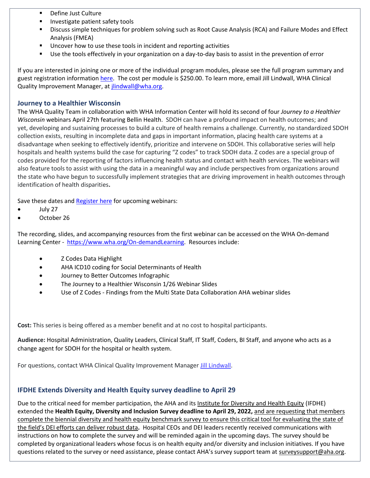- Define Just Culture
- Investigate patient safety tools
- Discuss simple techniques for problem solving such as Root Cause Analysis (RCA) and Failure Modes and Effect Analysis (FMEA)
- Uncover how to use these tools in incident and reporting activities
- Use the tools effectively in your organization on a day-to-day basis to assist in the prevention of error

If you are interested in joining one or more of the individual program modules, please see the full program summary and guest registration information [here.](http://www.wha.org/Home/Common-PDFs/WI-QR-ProgramGUEST-SCHEDULE-2021.pdf) The cost per module is \$250.00. To learn more, email Jill Lindwall, WHA Clinical Quality Improvement Manager, at *jlindwall@wha.org.* 

#### **Journey to a Healthier Wisconsin**

The WHA Quality Team in collaboration with WHA Information Center will hold its second of four *Journey to a Healthier Wisconsin* webinars April 27th featuring Bellin Health. SDOH can have a profound impact on health outcomes; and yet, developing and sustaining processes to build a culture of health remains a challenge. Currently, no standardized SDOH collection exists, resulting in incomplete data and gaps in important information, placing health care systems at a disadvantage when seeking to effectively identify, prioritize and intervene on SDOH. This collaborative series will help hospitals and health systems build the case for capturing "Z codes" to track SDOH data. Z codes are a special group of codes provided for the reporting of factors influencing health status and contact with health services. The webinars will also feature tools to assist with using the data in a meaningful way and include perspectives from organizations around the state who have begun to successfully implement strategies that are driving improvement in health outcomes through identification of health disparities**.**

Save these dates and [Register here](https://www.wha.org/EducationEvent?EventID=390) for upcoming webinars:

- July 27
- October 26

The recording, slides, and accompanying resources from the first webinar can be accessed on the WHA On-demand Learning Center - [https://www.wha.org/On-demandLearning.](https://www.wha.org/On-demandLearning) Resources include:

- Z Codes Data Highlight
- AHA ICD10 coding for Social Determinants of Health
- Journey to Better Outcomes Infographic
- The Journey to a Healthier Wisconsin 1/26 Webinar Slides
- Use of Z Codes Findings from the Multi State Data Collaboration AHA webinar slides

**Cost:** This series is being offered as a member benefit and at no cost to hospital participants.

**Audience:** Hospital Administration, Quality Leaders, Clinical Staff, IT Staff, Coders, BI Staff, and anyone who acts as a change agent for SDOH for the hospital or health system.

For questions, contact WHA Clinical Quality Improvement Manager [Jill Lindwall.](mailto:jlindwall@wha.org)

## **IFDHE Extends Diversity and Health Equity survey deadline to April 29**

Due to the critical need for member participation, the AHA and its [Institute for Diversity and Health Equity](https://ifdhe.aha.org/) (IFDHE) extended the **Health Equity, Diversity and Inclusion Survey deadline to April 29, 2022,** and are requesting that members complete the biennial diversity and health equity benchmark survey to ensure this critical tool for evaluating the state of the field's DEI efforts can deliver robust data**.** Hospital CEOs and DEI leaders recently received communications with instructions on how to complete the survey and will be reminded again in the upcoming days. The survey should be completed by organizational leaders whose focus is on health equity and/or diversity and inclusion initiatives. If you have questions related to the survey or need assistance, please contact AHA's survey support team at [surveysupport@aha.org.](https://email.advocacy.aha.org/NzEwLVpMTC02NTEAAAGDXOO8Vm3JZRibI2VOkwiasr6UjkM3TTIy3Os0tB8UJ0295mZ0HX-LvGiAfm82i8EcokiCxlI=)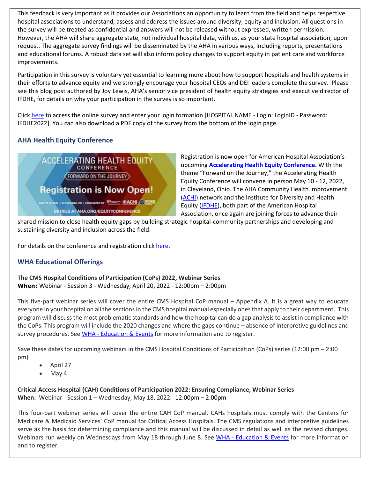This feedback is very important as it provides our Associations an opportunity to learn from the field and helps respective hospital associations to understand, assess and address the issues around diversity, equity and inclusion. All questions in the survey will be treated as confidential and answers will not be released without expressed, written permission. However, the AHA will share aggregate state, not individual hospital data, with us, as your state hospital association, upon request. The aggregate survey findings will be disseminated by the AHA in various ways, including reports, presentations and educational forums. A robust data set will also inform policy changes to support equity in patient care and workforce improvements.

Participation in this survey is voluntary yet essential to learning more about how to support hospitals and health systems in their efforts to advance equity and we strongly encourage your hospital CEOs and DEI leaders complete the survey. Please see [this blog post](https://www.aha.org/news/blog/2021-12-15-painting-picture-state-health-equity-diversity-and-inclusion-using-data) authored by Joy Lewis, AHA's senior vice president of health equity strategies and executive director of IFDHE, for details on why your participation in the survey is so important.

Click [here](https://americanhospital.qualtrics.com/jfe/form/SV_eVgOiDSt5F2uRmu) to access the online survey and enter your login formation [HOSPITAL NAME - Login: LoginID - Password: IFDHE2022]. You can also download a PDF copy of the survey from the bottom of the login page.

# **AHA Health Equity Conference**



Registration is now open for American Hospital Association's upcoming **[Accelerating Health Equity Conference.](https://web.cvent.com/event/efb71c93-6768-4141-b8fa-9b54477449b9/summary)** With the theme "Forward on the Journey," the Accelerating Health Equity Conference will convene in person May 10 - 12, 2022, in Cleveland, Ohio. The AHA Community Health Improvement [\(ACHI\)](https://www.healthycommunities.org/) network and the Institute for Diversity and Health Equity [\(IFDHE\)](https://ifdhe.aha.org/), both part of the American Hospital Association, once again are joining forces to advance their

shared mission to close health equity gaps by building strategic hospital-community partnerships and developing and sustaining diversity and inclusion across the field.

For details on the conference and registration click [here.](https://www.aha.org/accelerating-health-equity)

## **WHA Educational Offerings**

**The CMS Hospital Conditions of Participation (CoPs) 2022, Webinar Series When:** Webinar - Session 3 - Wednesday, April 20, 2022 - 12:00pm – 2:00pm

This five-part webinar series will cover the entire CMS Hospital CoP manual – Appendix A. It is a great way to educate everyone in your hospital on all the sections in the CMS hospital manual especially ones that apply to their department. This program will discuss the most problematic standards and how the hospital can do a gap analysis to assist in compliance with the CoPs. This program will include the 2020 changes and where the gaps continue – absence of interpretive guidelines and survey procedures. See WHA - [Education & Events](https://www.wha.org/EducationandEvents) for more information and to register.

Save these dates for upcoming webinars in the CMS Hospital Conditions of Participation (CoPs) series (12:00 pm – 2:00 pm)

- April 27
- May 4

**Critical Access Hospital (CAH) Conditions of Participation 2022: Ensuring Compliance, Webinar Series When:** Webinar - Session 1 – Wednesday, May 18, 2022 - 12:00pm – 2:00pm

This four-part webinar series will cover the entire CAH CoP manual. CAHs hospitals must comply with the Centers for Medicare & Medicaid Services' CoP manual for Critical Access Hospitals. The CMS regulations and interpretive guidelines serve as the basis for determining compliance and this manual will be discussed in detail as well as the revised changes. Webinars run weekly on Wednesdays from May 18 through June 8. See WHA - [Education & Events](https://www.wha.org/EducationandEvents) for more information and to register.